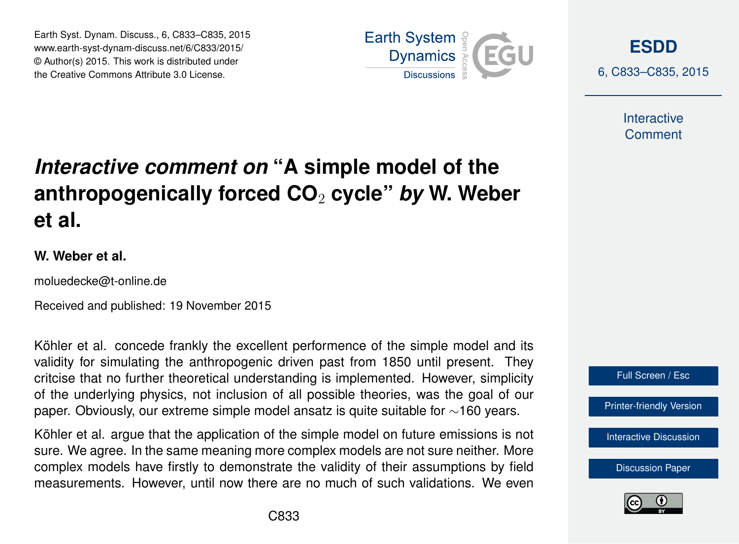Earth Syst. Dynam. Discuss., 6, C833–C835, 2015 www.earth-syst-dynam-discuss.net/6/C833/2015/ © Author(s) 2015. This work is distributed under the Creative Commons Attribute 3.0 License.



**[ESDD](http://www.earth-syst-dynam-discuss.net)**

6, C833–C835, 2015

**Interactive** Comment

## *Interactive comment on* **"A simple model of the anthropogenically forced CO**<sup>2</sup> **cycle"** *by* **W. Weber et al.**

## **W. Weber et al.**

moluedecke@t-online.de

Received and published: 19 November 2015

Köhler et al. concede frankly the excellent performence of the simple model and its validity for simulating the anthropogenic driven past from 1850 until present. They critcise that no further theoretical understanding is implemented. However, simplicity of the underlying physics, not inclusion of all possible theories, was the goal of our paper. Obviously, our extreme simple model ansatz is quite suitable for ∼160 years.

Köhler et al. argue that the application of the simple model on future emissions is not sure. We agree. In the same meaning more complex models are not sure neither. More complex models have firstly to demonstrate the validity of their assumptions by field measurements. However, until now there are no much of such validations. We even



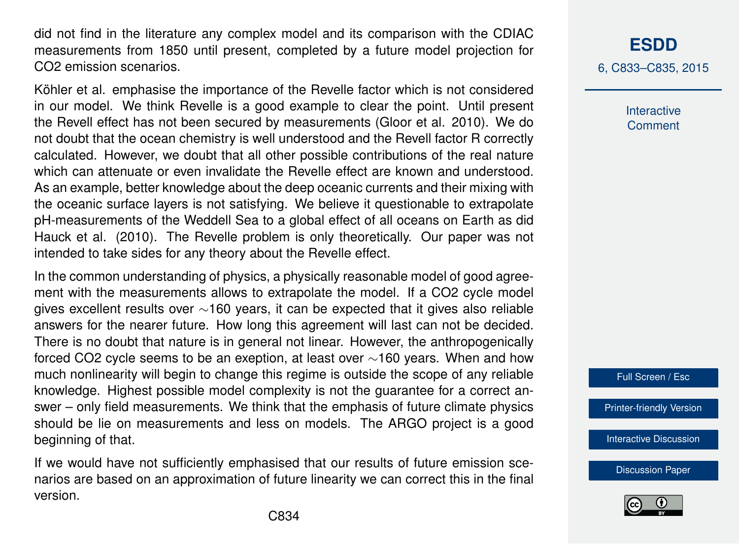did not find in the literature any complex model and its comparison with the CDIAC measurements from 1850 until present, completed by a future model projection for CO2 emission scenarios.

Köhler et al. emphasise the importance of the Revelle factor which is not considered in our model. We think Revelle is a good example to clear the point. Until present the Revell effect has not been secured by measurements (Gloor et al. 2010). We do not doubt that the ocean chemistry is well understood and the Revell factor R correctly calculated. However, we doubt that all other possible contributions of the real nature which can attenuate or even invalidate the Revelle effect are known and understood As an example, better knowledge about the deep oceanic currents and their mixing with the oceanic surface layers is not satisfying. We believe it questionable to extrapolate pH-measurements of the Weddell Sea to a global effect of all oceans on Earth as did Hauck et al. (2010). The Revelle problem is only theoretically. Our paper was not intended to take sides for any theory about the Revelle effect.

In the common understanding of physics, a physically reasonable model of good agreement with the measurements allows to extrapolate the model. If a CO2 cycle model gives excellent results over ∼160 years, it can be expected that it gives also reliable answers for the nearer future. How long this agreement will last can not be decided. There is no doubt that nature is in general not linear. However, the anthropogenically forced CO2 cycle seems to be an exeption, at least over ∼160 years. When and how much nonlinearity will begin to change this regime is outside the scope of any reliable knowledge. Highest possible model complexity is not the guarantee for a correct answer – only field measurements. We think that the emphasis of future climate physics should be lie on measurements and less on models. The ARGO project is a good beginning of that.

If we would have not sufficiently emphasised that our results of future emission scenarios are based on an approximation of future linearity we can correct this in the final version.

## **[ESDD](http://www.earth-syst-dynam-discuss.net)**

6, C833–C835, 2015

Interactive **Comment** 

Full Screen / Esc

[Printer-friendly Version](http://www.earth-syst-dynam-discuss.net/6/C833/2015/esdd-6-C833-2015-print.pdf)

[Interactive Discussion](http://www.earth-syst-dynam-discuss.net/6/2043/2015/esdd-6-2043-2015-discussion.html)

[Discussion Paper](http://www.earth-syst-dynam-discuss.net/6/2043/2015/esdd-6-2043-2015.pdf)